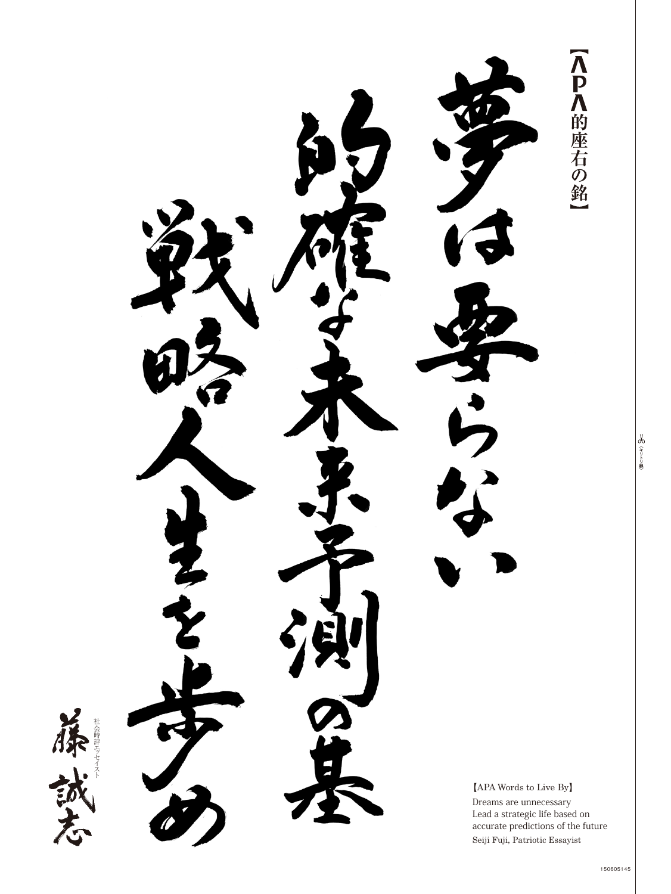【<P<的座右の銘 1会時評工 セイスト ッ 社会時評エ $[APA$  Words to Live By Dreams are unnecessary Lead a strategic life based on accurate predictions of the future Seiji Fuji, Patriotic Essayist